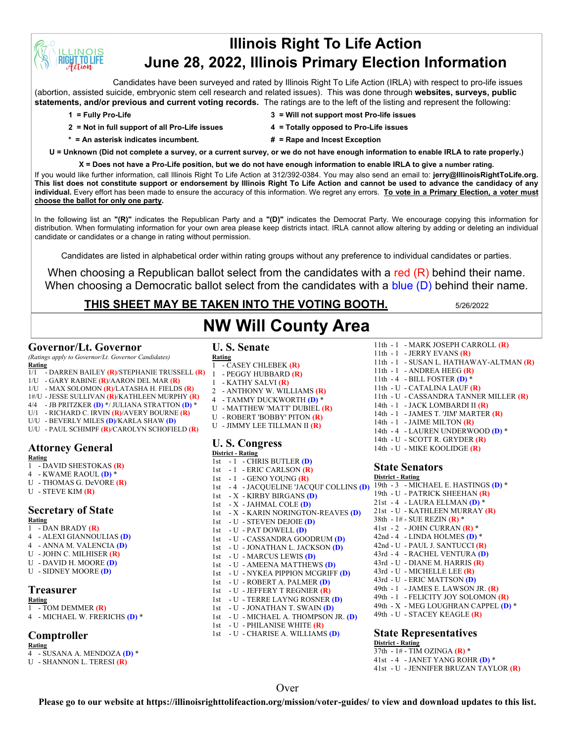# **Illinois Right To Life Action June 28, 2022, Illinois Primary Election Information**

Candidates have been surveyed and rated by Illinois Right To Life Action (IRLA) with respect to pro-life issues (abortion, assisted suicide, embryonic stem cell research and related issues). This was done through **websites, surveys, public statements, and/or previous and current voting records.** The ratings are to the left of the listing and represent the following:

**INOIS T.TO LIFE** 

- **2 = Not in full support of all Pro-Life issues 4 = Totally opposed to Pro-Life issues**
- **1 = Fully Pro-Life 3 = Will not support most Pro-life issues**
	-
- 
- 
- **\* = An asterisk indicates incumbent. # = Rape and Incest Exception**

**U = Unknown (Did not complete a survey, or a current survey, or we do not have enough information to enable IRLA to rate properly.)**

**X = Does not have a Pro-Life position, but we do not have enough information to enable IRLA to give a number rating.**  If you would like further information, call Illinois Right To Life Action at 312/392-0384. You may also send an email to: **jerry@IllinoisRightToLife.org. This list does not constitute support or endorsement by Illinois Right To Life Action and cannot be used to advance the candidacy of any individual.** Every effort has been made to ensure the accuracy of this information. We regret any errors. **To vote in a Primary Election, a voter must choose the ballot for only one party.**

In the following list an **"(R)"** indicates the Republican Party and a **"(D)"** indicates the Democrat Party. We encourage copying this information for distribution. When formulating information for your own area please keep districts intact. IRLA cannot allow altering by adding or deleting an individual candidate or candidates or a change in rating without permission.

Candidates are listed in alphabetical order within rating groups without any preference to individual candidates or parties.

When choosing a Republican ballot select from the candidates with a red (R) behind their name. When choosing a Democratic ballot select from the candidates with a blue (D) behind their name.

**NW Will County Area**

# **THIS SHEET MAY BE TAKEN INTO THE VOTING BOOTH.** 5/26/2022

#### **Governor/Lt. Governor**

*(Ratings apply to Governor/Lt. Governor Candidates)* **Rating**

- 1/1 DARREN BAILEY **(R)**/STEPHANIE TRUSSELL **(R)**
- 1/U GARY RABINE **(R)**/AARON DEL MAR **(R)**
- 1/U MAX SOLOMON **(R)**/LATASHA H. FIELDS **(R)**
- 1#/U JESSE SULLIVAN **(R)**/KATHLEEN MURPHY **(R)**
- 4/4 JB PRITZKER **(D)** \*/ JULIANA STRATTON **(D)** \*
- U/1 RICHARD C. IRVIN **(R)**/AVERY BOURNE **(R)**
- U/U BEVERLY MILES **(D)**/KARLA SHAW **(D)**
- U/U PAUL SCHIMPF **(R)**/CAROLYN SCHOFIELD **(R)**

## **Attorney General**

- **Rating**
- 1 DAVID SHESTOKAS **(R)**
- 4 KWAME RAOUL **(D)** \*
- U THOMAS G. DeVORE **(R)**
- U STEVE KIM **(R)**

#### **Secretary of State Rating**

- 1 DAN BRADY **(R)**
- 4 ALEXI GIANNOULIAS **(D)**
- 4 ANNA M. VALENCIA **(D)**
- U JOHN C. MILHISER **(R)**
- U DAVID H. MOORE **(D)**
- U SIDNEY MOORE **(D)**

## **Treasurer**

- **Rating** 1 - TOM DEMMER **(R)**
- 4 MICHAEL W. FRERICHS **(D)** \*

# **Comptroller**

# **Rating**

- 4 SUSANA A. MENDOZA **(D)** \*
- U SHANNON L. TERESI **(R)**

# **U. S. Senate**

- **Rating** 1 - CASEY CHLEBEK **(R)**
- 1 PEGGY HUBBARD **(R)**
- 1 KATHY SALVI **(R)**
- 2 ANTHONY W. WILLIAMS **(R)**
- 4 TAMMY DUCKWORTH **(D)** \*
- U MATTHEW 'MATT' DUBIEL **(R)**
- U ROBERT 'BOBBY' PITON **(R)**
- 
- U JIMMY LEE TILLMAN II **(R)**

#### **U. S. Congress District - Rating**

1st - 1 - CHRIS BUTLER **(D)** 1st - 1 - ERIC CARLSON **(R)** 1st - 1 - GENO YOUNG **(R)** 1st - 4 - JACQUELINE 'JACQUI' COLLINS **(D)** 1st - X - KIRBY BIRGANS **(D)** 1st - X - JAHMAL COLE **(D)** 1st - X - KARIN NORINGTON-REAVES **(D)** 1st - U - STEVEN DEJOIE **(D)** 1st - U - PAT DOWELL **(D)** 1st - U - CASSANDRA GOODRUM **(D)** 1st - U - JONATHAN L. JACKSON **(D)** 1st - U - MARCUS LEWIS **(D)** 1st - U - AMEENA MATTHEWS **(D)** 1st - U - NYKEA PIPPION MCGRIFF **(D)** 1st - U - ROBERT A. PALMER **(D)** 1st - U - JEFFERY T REGNIER **(R)** 1st - U - TERRE LAYNG ROSNER **(D)** 1st - U - JONATHAN T. SWAIN **(D)** 1st - U - MICHAEL A. THOMPSON JR. **(D)** 1st - U - PHILANISE WHITE **(R)**

1st - U - CHARISE A. WILLIAMS **(D)**

- 11th 1 MARK JOSEPH CARROLL **(R)** 11th - 1 - JERRY EVANS **(R)**
- 11th 1 SUSAN L. HATHAWAY-ALTMAN **(R)**
- 11th 1 ANDREA HEEG **(R)**
- 11th 4 BILL FOSTER **(D)** \*
- 11th U CATALINA LAUF **(R)**
- 11th U CASSANDRA TANNER MILLER **(R)**
- 14th 1 JACK LOMBARDI II **(R)**
- 14th 1 JAMES T. 'JIM' MARTER **(R)**
- 14th 1 JAIME MILTON **(R)**
- 14th 4 LAUREN UNDERWOOD **(D)** \*
- 14th U SCOTT R. GRYDER **(R)**
- 14th U MIKE KOOLIDGE **(R)**

#### **State Senators**

**District - Rating** 19th - 3 - MICHAEL E. HASTINGS **(D)** \* 19th - U - PATRICK SHEEHAN **(R)** 21st - 4 - LAURA ELLMAN **(D)** \* 21st - U - KATHLEEN MURRAY **(R)** 38th - 1# - SUE REZIN **(R)** \* 41st - 2 - JOHN CURRAN **(R)** \* 42nd - 4 - LINDA HOLMES **(D)** \* 42nd - U - PAUL J. SANTUCCI **(R)** 43rd - 4 - RACHEL VENTURA **(D)** 43rd - U - DIANE M. HARRIS **(R)** 43rd - U - MICHELLE LEE **(R)** 43rd - U - ERIC MATTSON **(D)** 49th - 1 - JAMES E. LAWSON JR. **(R)** 49th - 1 - FELICITY JOY SOLOMON **(R)** 49th - X - MEG LOUGHRAN CAPPEL **(D)** \* 49th - U - STACEY KEAGLE **(R)**

#### **State Representatives**

**District - Rating** 37th - 1# - TIM OZINGA **(R)** \* 41st - 4 - JANET YANG ROHR **(D)** \* 41st - U - JENNIFER BRUZAN TAYLOR **(R)**

## Over

**Please go to our website at https://illinoisrighttolifeaction.org/mission/voter-guides/ to view and download updates to this list.**